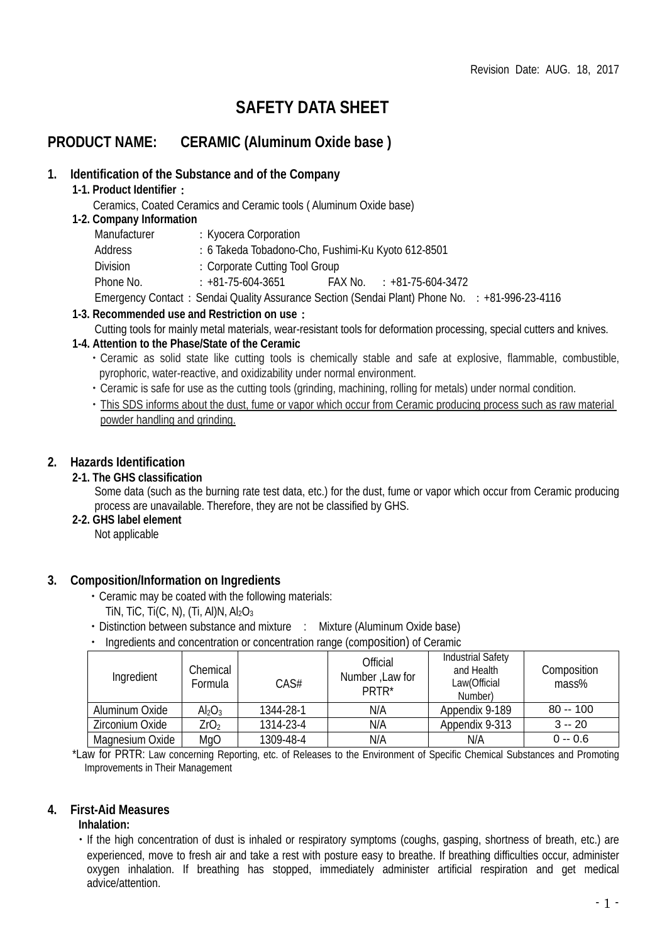# **SAFETY DATA SHEET**

# **PRODUCT NAME: CERAMIC (Aluminum Oxide base )**

#### **1. Identification of the Substance and of the Company**

- **1-1. Product Identifier**:
	- Ceramics, Coated Ceramics and Ceramic tools ( Aluminum Oxide base)

#### **1-2. Company Information**

| Manufacturer | : Kyocera Corporation                                                                          |  |                           |  |
|--------------|------------------------------------------------------------------------------------------------|--|---------------------------|--|
| Address      | : 6 Takeda Tobadono-Cho, Fushimi-Ku Kyoto 612-8501                                             |  |                           |  |
| Division     | : Corporate Cutting Tool Group                                                                 |  |                           |  |
| Phone No.    | $: +81 - 75 - 604 - 3651$                                                                      |  | FAX No. : +81-75-604-3472 |  |
|              | Emergency Contact: Sendai Quality Assurance Section (Sendai Plant) Phone No. : +81-996-23-4116 |  |                           |  |

- **1-3. Recommended use and Restriction on use**:
	- Cutting tools for mainly metal materials, wear-resistant tools for deformation processing, special cutters and knives.

#### **1-4. Attention to the Phase/State of the Ceramic**

- ・Ceramic as solid state like cutting tools is chemically stable and safe at explosive, flammable, combustible, pyrophoric, water-reactive, and oxidizability under normal environment.
- ・Ceramic is safe for use as the cutting tools (grinding, machining, rolling for metals) under normal condition.
- ・This SDS informs about the dust, fume or vapor which occur from Ceramic producing process such as raw material powder handling and grinding.

#### **2. Hazards Identification**

#### **2-1. The GHS classification**

Some data (such as the burning rate test data, etc.) for the dust, fume or vapor which occur from Ceramic producing process are unavailable. Therefore, they are not be classified by GHS.

#### **2-2. GHS label element**

Not applicable

#### **3. Composition/Information on Ingredients**

- ・Ceramic may be coated with the following materials:
	- TIN, TIC, TI(C, N), (TI, Al)N,  $Al_2O_3$
- Distinction between substance and mixture : Mixture (Aluminum Oxide base)
- ・ Ingredients and concentration or concentration range (composition) of Ceramic

| Ingredient      | Chemical<br>Formula            | CAS#      | Official<br>Number, Law for<br>PRTR* | <b>Industrial Safety</b><br>and Health<br>Law(Official<br>Number) | Composition<br>mass% |
|-----------------|--------------------------------|-----------|--------------------------------------|-------------------------------------------------------------------|----------------------|
| Aluminum Oxide  | Al <sub>2</sub> O <sub>3</sub> | 1344-28-1 | N/A                                  | Appendix 9-189                                                    | $80 - 100$           |
| Zirconium Oxide | ZrO <sub>2</sub>               | 1314-23-4 | N/A                                  | Appendix 9-313                                                    | $3 - 20$             |
| Magnesium Oxide | MgO                            | 1309-48-4 | N/A                                  | N/A                                                               | $0 - 0.6$            |

\*Law for PRTR: Law concerning Reporting, etc. of Releases to the Environment of Specific Chemical Substances and Promoting Improvements in Their Management

#### **4. First-Aid Measures**

#### **Inhalation:**

・If the high concentration of dust is inhaled or respiratory symptoms (coughs, gasping, shortness of breath, etc.) are experienced, move to fresh air and take a rest with posture easy to breathe. If breathing difficulties occur, administer oxygen inhalation. If breathing has stopped, immediately administer artificial respiration and get medical advice/attention.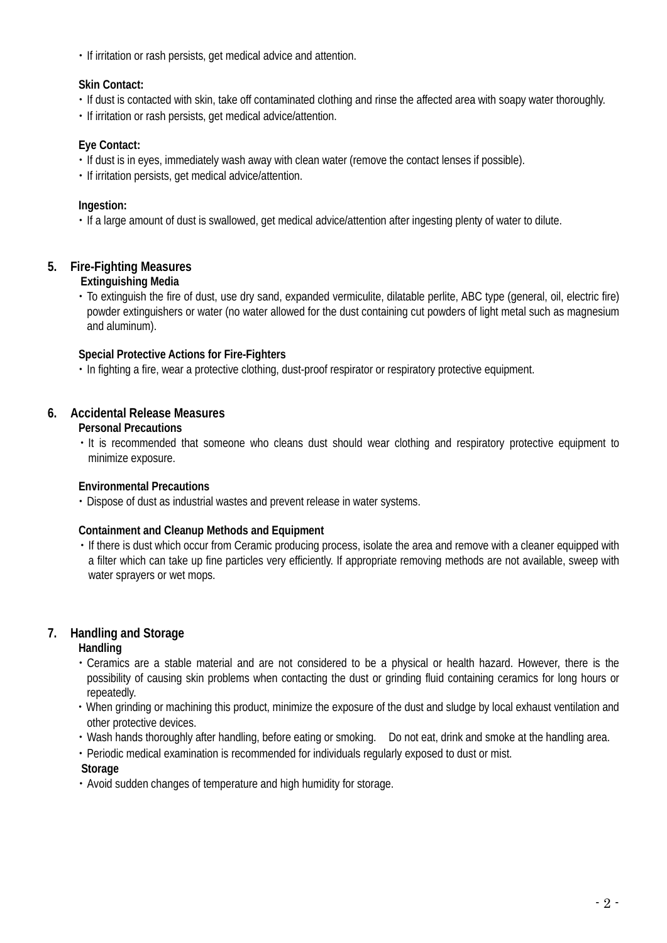・If irritation or rash persists, get medical advice and attention.

#### **Skin Contact:**

- ・If dust is contacted with skin, take off contaminated clothing and rinse the affected area with soapy water thoroughly.
- ・If irritation or rash persists, get medical advice/attention.

# **Eye Contact:**

- ・If dust is in eyes, immediately wash away with clean water (remove the contact lenses if possible).
- ・If irritation persists, get medical advice/attention.

# **Ingestion:**

・If a large amount of dust is swallowed, get medical advice/attention after ingesting plenty of water to dilute.

# **5. Fire-Fighting Measures**

#### **Extinguishing Media**

・To extinguish the fire of dust, use dry sand, expanded vermiculite, dilatable perlite, ABC type (general, oil, electric fire) powder extinguishers or water (no water allowed for the dust containing cut powders of light metal such as magnesium and aluminum).

#### **Special Protective Actions for Fire-Fighters**

・In fighting a fire, wear a protective clothing, dust-proof respirator or respiratory protective equipment.

# **6. Accidental Release Measures**

#### **Personal Precautions**

・It is recommended that someone who cleans dust should wear clothing and respiratory protective equipment to minimize exposure.

# **Environmental Precautions**

・Dispose of dust as industrial wastes and prevent release in water systems.

#### **Containment and Cleanup Methods and Equipment**

・If there is dust which occur from Ceramic producing process, isolate the area and remove with a cleaner equipped with a filter which can take up fine particles very efficiently. If appropriate removing methods are not available, sweep with water sprayers or wet mops.

# **7. Handling and Storage**

#### **Handling**

- ・Ceramics are a stable material and are not considered to be a physical or health hazard. However, there is the possibility of causing skin problems when contacting the dust or grinding fluid containing ceramics for long hours or repeatedly.
- ・When grinding or machining this product, minimize the exposure of the dust and sludge by local exhaust ventilation and other protective devices.
- ・Wash hands thoroughly after handling, before eating or smoking. Do not eat, drink and smoke at the handling area.
- ・Periodic medical examination is recommended for individuals regularly exposed to dust or mist.

#### **Storage**

・Avoid sudden changes of temperature and high humidity for storage.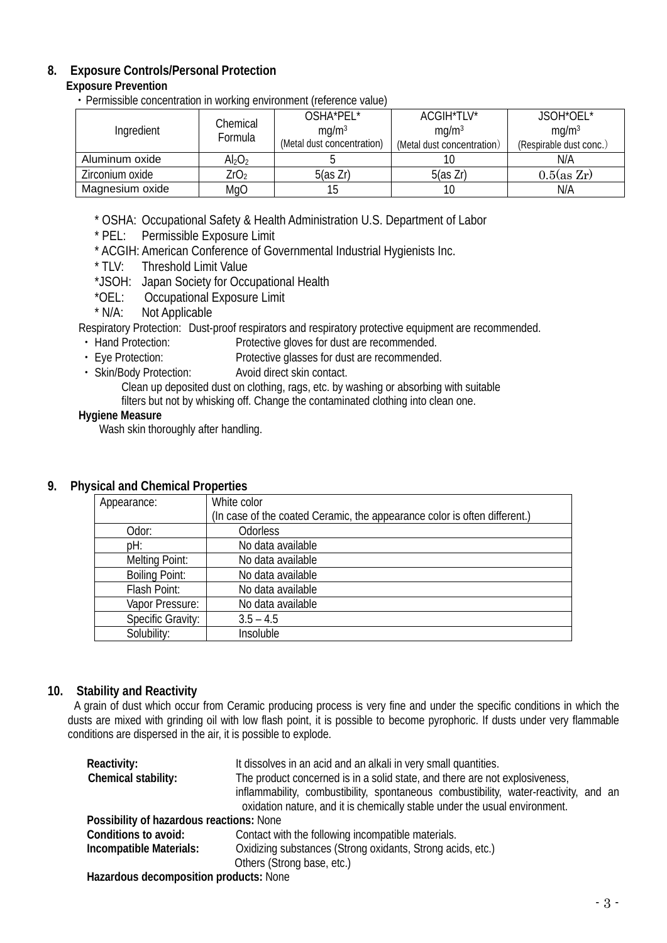# **8. Exposure Controls/Personal Protection**

#### **Exposure Prevention**

・Permissible concentration in working environment (reference value)

|                 | Chemical                    | OSHA*PEL*                  | ACGIH*TLV*                 | JSOH*OEL*               |
|-----------------|-----------------------------|----------------------------|----------------------------|-------------------------|
| Ingredient      | Formula                     | mq/m <sup>3</sup>          | mq/m <sup>3</sup>          | mq/m <sup>3</sup>       |
|                 |                             | (Metal dust concentration) | (Metal dust concentration) | (Respirable dust conc.) |
| Aluminum oxide  | $\mathsf{Al}_2\mathrm{O}_2$ |                            |                            | N/A                     |
| Zirconium oxide | ZrO <sub>2</sub>            | 5(as Zr)                   | 5(as Zr)                   | $0.5$ (as Zr)           |
| Magnesium oxide | MgO                         |                            |                            | N/A                     |

\* OSHA: Occupational Safety & Health Administration U.S. Department of Labor

- \* PEL: Permissible Exposure Limit
- \* ACGIH: American Conference of Governmental Industrial Hygienists Inc.<br>\* TLV: Threshold Limit Value
- Threshold Limit Value
- \*JSOH: Japan Society for Occupational Health
- \*OEL: Occupational Exposure Limit<br>\* N/A: Not Applicable
	- Not Applicable

Respiratory Protection: Dust-proof respirators and respiratory protective equipment are recommended.

- Hand Protection: Protective gloves for dust are recommended.<br>• Eye Protection: Protective glasses for dust are recommended
- Protective glasses for dust are recommended.
- ・ Skin/Body Protection: Avoid direct skin contact.

Clean up deposited dust on clothing, rags, etc. by washing or absorbing with suitable

filters but not by whisking off. Change the contaminated clothing into clean one.

#### **Hygiene Measure**

Wash skin thoroughly after handling.

#### **9. Physical and Chemical Properties**

| Appearance:           | White color                                                               |
|-----------------------|---------------------------------------------------------------------------|
|                       | (In case of the coated Ceramic, the appearance color is often different.) |
| Odor:                 | <b>Odorless</b>                                                           |
| pH:                   | No data available                                                         |
| Melting Point:        | No data available                                                         |
| <b>Boiling Point:</b> | No data available                                                         |
| Flash Point:          | No data available                                                         |
| Vapor Pressure:       | No data available                                                         |
| Specific Gravity:     | $3.5 - 4.5$                                                               |
| Solubility:           | Insoluble                                                                 |

# **10. Stability and Reactivity**

A grain of dust which occur from Ceramic producing process is very fine and under the specific conditions in which the dusts are mixed with grinding oil with low flash point, it is possible to become pyrophoric. If dusts under very flammable conditions are dispersed in the air, it is possible to explode.

| Reactivity:                                                                                                    | It dissolves in an acid and an alkali in very small quantities.                      |
|----------------------------------------------------------------------------------------------------------------|--------------------------------------------------------------------------------------|
| Chemical stability:                                                                                            | The product concerned is in a solid state, and there are not explosiveness,          |
|                                                                                                                | inflammability, combustibility, spontaneous combustibility, water-reactivity, and an |
|                                                                                                                | oxidation nature, and it is chemically stable under the usual environment.           |
| Possibility of hazardous reactions: None                                                                       |                                                                                      |
| Conditions to avoid:                                                                                           | Contact with the following incompatible materials.                                   |
| Incompatible Materials:                                                                                        | Oxidizing substances (Strong oxidants, Strong acids, etc.)                           |
|                                                                                                                | Others (Strong base, etc.)                                                           |
| ilian de la componencia de la componencia de la componencia de la componencia de la componencia de la componen |                                                                                      |

**Hazardous decomposition products:** None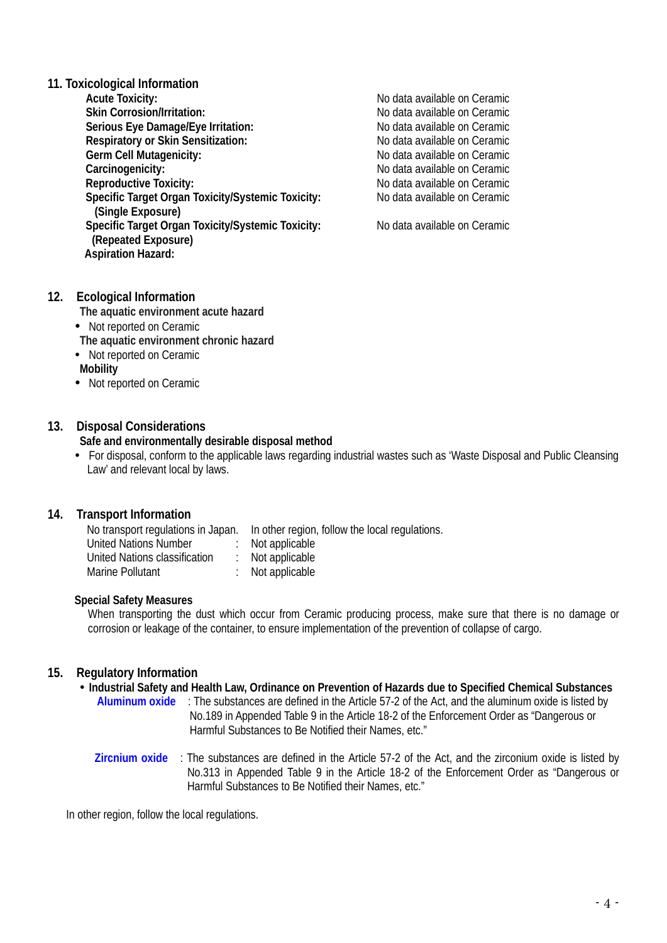# **11. Toxicological Information**

**Acute Toxicity:** <br> **Acute Toxicity:** <br> **Skin Corrosion/Irritation:** <br> **No data available on Ceramic Serious Eye Damage/Eye Irritation:** <br> **Respiratory or Skin Sensitization:** No data available on Ceramic **Respiratory or Skin Sensitization:** <br> **Respiratory or Skin Sensitization: No data available on Ceramic**<br>
No data available on Ceramic **Germ Cell Mutagenicity:**<br>**Carcinogenicity: Carcinogenicity:**  $\qquad$   $\qquad$  No data available on Ceramic Reproductive Toxicity:  $\qquad$  No data available on Ceramic **Specific Target Organ Toxicity/Systemic Toxicity: (Single Exposure)** Specific Target Organ Toxicity/Systemic Toxicity: No data available on Ceramic **(Repeated Exposure) Aspiration Hazard:** 

No data available on Ceramic<br>No data available on Ceramic No data available on Ceramic<br>No data available on Ceramic

#### **12. Ecological Information**

**The aquatic environment acute hazard**

• Not reported on Ceramic

**The aquatic environment chronic hazard**

- Not reported on Ceramic
- **Mobility**
- Not reported on Ceramic

#### **13. Disposal Considerations**

#### **Safe and environmentally desirable disposal method**

 For disposal, conform to the applicable laws regarding industrial wastes such as 'Waste Disposal and Public Cleansing Law' and relevant local by laws.

#### **14. Transport Information**

| No transport regulations in Japan. |  | In other region, follow the local regulations. |
|------------------------------------|--|------------------------------------------------|
| United Nations Number              |  | Not applicable                                 |
| United Nations classification      |  | $\therefore$ Not applicable                    |
| Marine Pollutant                   |  | Not applicable                                 |

#### **Special Safety Measures**

When transporting the dust which occur from Ceramic producing process, make sure that there is no damage or corrosion or leakage of the container, to ensure implementation of the prevention of collapse of cargo.

#### **15. Regulatory Information**

- **Industrial Safety and Health Law, Ordinance on Prevention of Hazards due to Specified Chemical Substances**
	- **Aluminum oxide** : The substances are defined in [the Article 57-2 of the Act,](http://www.jniosh.go.jp/icpro/jicosh-old/japanese/country/japan/laws/01_occ/05b.html#lawA57b) and the aluminum oxide is listed by No.189 in Appended Table 9 in the Article 18-2 of the Enforcement Order as "Dangerous or Harmful Substances to Be Notified their Names, etc."
	- **Zircnium oxide** : The substances are defined in [the Article 57-2 of the Act,](http://www.jniosh.go.jp/icpro/jicosh-old/japanese/country/japan/laws/01_occ/05b.html#lawA57b) and the zirconium oxide is listed by No.313 in Appended Table 9 in the Article 18-2 of the Enforcement Order as "Dangerous or Harmful Substances to Be Notified their Names, etc."

In other region, follow the local regulations.